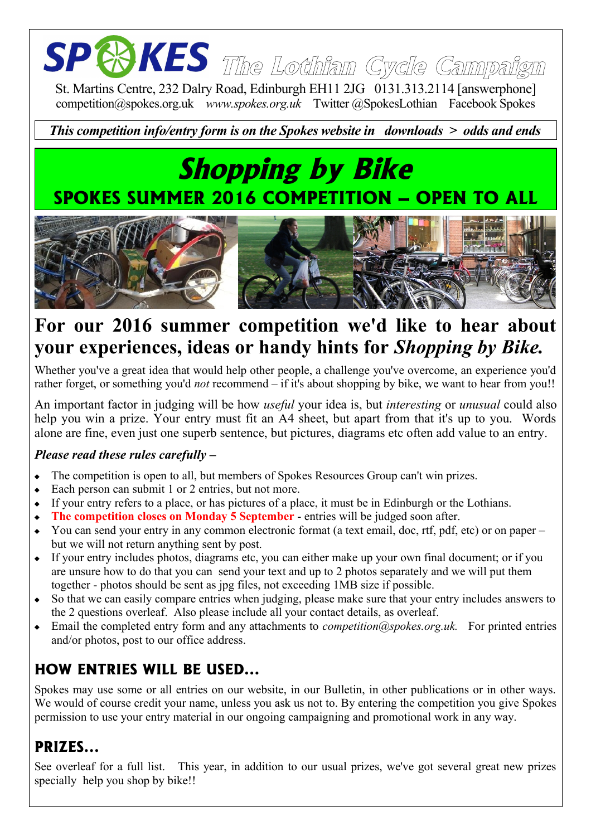# **The Lothian Cycle Campaign**

St. Martins Centre, 232 Dalry Road, Edinburgh EH11 2JG 0131.313.2114 [answerphone] competition@spokes.org.uk *www.spokes.org.uk* Twitter @SpokesLothian Facebook Spokes

#### *This competition info/entry form is on the Spokes website in downloads > odds and ends*

# **Shopping by Bike SPOKES SUMMER 2016 COMPETITION – OPEN TO ALL**



### **For our 2016 summer competition we'd like to hear about your experiences, ideas or handy hints for** *Shopping by Bike.*

Whether you've a great idea that would help other people, a challenge you've overcome, an experience you'd rather forget, or something you'd *not* recommend – if it's about shopping by bike, we want to hear from you!!

An important factor in judging will be how *useful* your idea is, but *interesting* or *unusual* could also help you win a prize. Your entry must fit an A4 sheet, but apart from that it's up to you. Words alone are fine, even just one superb sentence, but pictures, diagrams etc often add value to an entry.

#### *Please read these rules carefully –*

- The competition is open to all, but members of Spokes Resources Group can't win prizes.
- Each person can submit 1 or 2 entries, but not more.
- If your entry refers to a place, or has pictures of a place, it must be in Edinburgh or the Lothians.
- **The competition closes on Monday 5 September** entries will be judged soon after.
- You can send your entry in any common electronic format (a text email, doc, rtf, pdf, etc) or on paper but we will not return anything sent by post.
- If your entry includes photos, diagrams etc, you can either make up your own final document; or if you are unsure how to do that you can send your text and up to 2 photos separately and we will put them together - photos should be sent as jpg files, not exceeding 1MB size if possible.
- So that we can easily compare entries when judging, please make sure that your entry includes answers to the 2 questions overleaf. Also please include all your contact details, as overleaf.
- Email the completed entry form and any attachments to *competition@spokes.org.uk.* For printed entries and/or photos, post to our office address.

#### **HOW ENTRIES WILL BE USED...**

Spokes may use some or all entries on our website, in our Bulletin, in other publications or in other ways. We would of course credit your name, unless you ask us not to. By entering the competition you give Spokes permission to use your entry material in our ongoing campaigning and promotional work in any way.

#### **PRIZES...**

See overleaf for a full list. This year, in addition to our usual prizes, we've got several great new prizes specially help you shop by bike!!